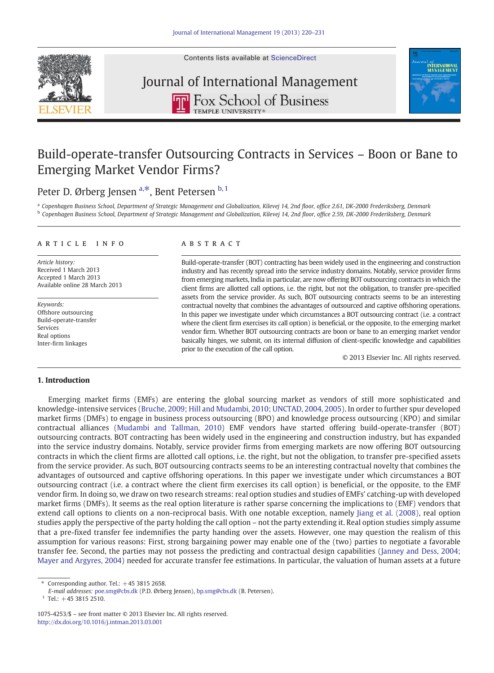Contents lists available at [ScienceDirect](http://www.sciencedirect.com/science/journal/10754253)



# Journal of International Management**THE ROX School of Business**



### Build-operate-transfer Outsourcing Contracts in Services – Boon or Bane to Emerging Market Vendor Firms?

### Peter D. Ørberg Jensen<sup>a,\*</sup>, Bent Petersen<sup>b,1</sup>

a Copenhagen Business School, Department of Strategic Management and Globalization, Kilevej 14, 2nd floor, office 2.61, DK-2000 Frederiksberg, Denmark b Copenhagen Business School, Department of Strategic Management and Globalization, Kilevej 14, 2nd floor, office 2.59, DK-2000 Frederiksberg, Denmark

### article info abstract

Article history: Received 1 March 2013 Accepted 1 March 2013 Available online 28 March 2013

Keywords: Offshore outsourcing Build-operate-transfer Services Real options Inter-firm linkages

Build-operate-transfer (BOT) contracting has been widely used in the engineering and construction industry and has recently spread into the service industry domains. Notably, service provider firms from emerging markets, India in particular, are now offering BOT outsourcing contracts in which the client firms are allotted call options, i.e. the right, but not the obligation, to transfer pre-specified assets from the service provider. As such, BOT outsourcing contracts seems to be an interesting contractual novelty that combines the advantages of outsourced and captive offshoring operations. In this paper we investigate under which circumstances a BOT outsourcing contract (i.e. a contract where the client firm exercises its call option) is beneficial, or the opposite, to the emerging market vendor firm. Whether BOT outsourcing contracts are boon or bane to an emerging market vendor basically hinges, we submit, on its internal diffusion of client-specific knowledge and capabilities prior to the execution of the call option.

© 2013 Elsevier Inc. All rights reserved.

#### 1. Introduction

Emerging market firms (EMFs) are entering the global sourcing market as vendors of still more sophisticated and knowledge-intensive services ([Bruche, 2009; Hill and Mudambi, 2010; UNCTAD, 2004, 2005](#page--1-0)). In order to further spur developed market firms (DMFs) to engage in business process outsourcing (BPO) and knowledge process outsourcing (KPO) and similar contractual alliances ([Mudambi and Tallman, 2010](#page--1-0)) EMF vendors have started offering build-operate-transfer (BOT) outsourcing contracts. BOT contracting has been widely used in the engineering and construction industry, but has expanded into the service industry domains. Notably, service provider firms from emerging markets are now offering BOT outsourcing contracts in which the client firms are allotted call options, i.e. the right, but not the obligation, to transfer pre-specified assets from the service provider. As such, BOT outsourcing contracts seems to be an interesting contractual novelty that combines the advantages of outsourced and captive offshoring operations. In this paper we investigate under which circumstances a BOT outsourcing contract (i.e. a contract where the client firm exercises its call option) is beneficial, or the opposite, to the EMF vendor firm. In doing so, we draw on two research streams: real option studies and studies of EMFs' catching-up with developed market firms (DMFs). It seems as the real option literature is rather sparse concerning the implications to (EMF) vendors that extend call options to clients on a non-reciprocal basis. With one notable exception, namely [Jiang et al. \(2008\),](#page--1-0) real option studies apply the perspective of the party holding the call option – not the party extending it. Real option studies simply assume that a pre-fixed transfer fee indemnifies the party handing over the assets. However, one may question the realism of this assumption for various reasons: First, strong bargaining power may enable one of the (two) parties to negotiate a favorable transfer fee. Second, the parties may not possess the predicting and contractual design capabilities ([Janney and Dess, 2004;](#page--1-0) [Mayer and Argyres, 2004\)](#page--1-0) needed for accurate transfer fee estimations. In particular, the valuation of human assets at a future

 $1$  Tel.: +45 3815 2510.

Corresponding author. Tel.:  $+45$  3815 2658.

E-mail addresses: [poe.smg@cbs.dk](mailto:poe.smg@cbs.dk) (P.D. Ørberg Jensen), [bp.smg@cbs.dk](mailto:bp.smg@cbs.dk) (B. Petersen).

<sup>1075-4253/\$</sup> – see front matter © 2013 Elsevier Inc. All rights reserved. <http://dx.doi.org/10.1016/j.intman.2013.03.001>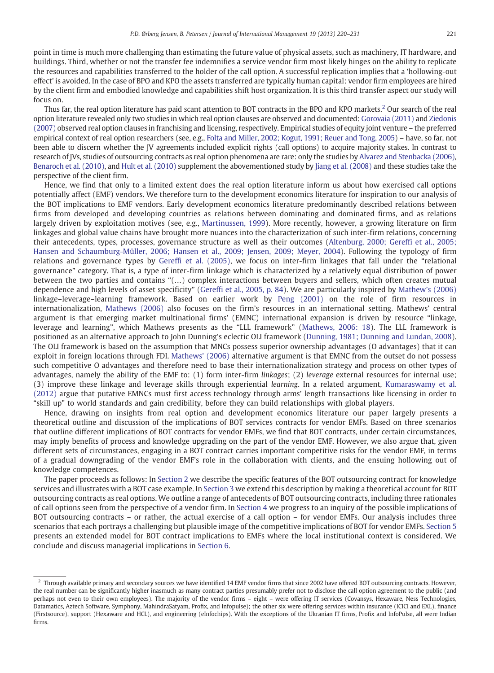point in time is much more challenging than estimating the future value of physical assets, such as machinery, IT hardware, and buildings. Third, whether or not the transfer fee indemnifies a service vendor firm most likely hinges on the ability to replicate the resources and capabilities transferred to the holder of the call option. A successful replication implies that a 'hollowing-out effect' is avoided. In the case of BPO and KPO the assets transferred are typically human capital: vendor firm employees are hired by the client firm and embodied knowledge and capabilities shift host organization. It is this third transfer aspect our study will focus on.

Thus far, the real option literature has paid scant attention to BOT contracts in the BPO and KPO markets.<sup>2</sup> Our search of the real option literature revealed only two studies in which real option clauses are observed and documented: [Gorovaia \(2011\)](#page--1-0) and [Ziedonis](#page--1-0) [\(2007\)](#page--1-0) observed real option clauses in franchising and licensing, respectively. Empirical studies of equity joint venture – the preferred empirical context of real option researchers (see, e.g., [Folta and Miller, 2002; Kogut, 1991; Reuer and Tong, 2005](#page--1-0)) – have, so far, not been able to discern whether the JV agreements included explicit rights (call options) to acquire majority stakes. In contrast to research of JVs, studies of outsourcing contracts as real option phenomena are rare: only the studies by [Alvarez and Stenbacka \(2006\)](#page--1-0), [Benaroch et al. \(2010\)](#page--1-0), and [Hult et al. \(2010\)](#page--1-0) supplement the abovementioned study by [Jiang et al. \(2008\)](#page--1-0) and these studies take the perspective of the client firm.

Hence, we find that only to a limited extent does the real option literature inform us about how exercised call options potentially affect (EMF) vendors. We therefore turn to the development economics literature for inspiration to our analysis of the BOT implications to EMF vendors. Early development economics literature predominantly described relations between firms from developed and developing countries as relations between dominating and dominated firms, and as relations largely driven by exploitation motives (see, e.g., [Martinussen, 1999](#page--1-0)). More recently, however, a growing literature on firm linkages and global value chains have brought more nuances into the characterization of such inter-firm relations, concerning their antecedents, types, processes, governance structure as well as their outcomes [\(Altenburg, 2000; Gereffi et al., 2005;](#page--1-0) [Hansen and Schaumburg-Müller, 2006; Hansen et al., 2009; Jensen, 2009; Meyer, 2004](#page--1-0)). Following the typology of firm relations and governance types by [Gereffi et al. \(2005\),](#page--1-0) we focus on inter-firm linkages that fall under the "relational governance" category. That is, a type of inter-firm linkage which is characterized by a relatively equal distribution of power between the two parties and contains "(…) complex interactions between buyers and sellers, which often creates mutual dependence and high levels of asset specificity" ([Gereffi et al., 2005, p. 84](#page--1-0)). We are particularly inspired by Mathew'[s \(2006\)](#page--1-0) linkage–leverage–learning framework. Based on earlier work by [Peng \(2001\)](#page--1-0) on the role of firm resources in internationalization, [Mathews \(2006\)](#page--1-0) also focuses on the firm's resources in an international setting. Mathews' central argument is that emerging market multinational firms' (EMNC) international expansion is driven by resource "linkage, leverage and learning", which Mathews presents as the "LLL framework" ([Mathews, 2006: 18](#page--1-0)). The LLL framework is positioned as an alternative approach to John Dunning's eclectic OLI framework ([Dunning, 1981; Dunning and Lundan, 2008\)](#page--1-0). The OLI framework is based on the assumption that MNCs possess superior ownership advantages (O advantages) that it can exploit in foreign locations through FDI. [Mathews](#page--1-0)' (2006) alternative argument is that EMNC from the outset do not possess such competitive O advantages and therefore need to base their internationalization strategy and process on other types of advantages, namely the ability of the EMF to: (1) form inter-firm linkages; (2) leverage external resources for internal use; (3) improve these linkage and leverage skills through experiential learning. In a related argument, [Kumaraswamy et al.](#page--1-0) [\(2012\)](#page--1-0) argue that putative EMNCs must first access technology through arms' length transactions like licensing in order to "skill up" to world standards and gain credibility, before they can build relationships with global players.

Hence, drawing on insights from real option and development economics literature our paper largely presents a theoretical outline and discussion of the implications of BOT services contracts for vendor EMFs. Based on three scenarios that outline different implications of BOT contracts for vendor EMFs, we find that BOT contracts, under certain circumstances, may imply benefits of process and knowledge upgrading on the part of the vendor EMF. However, we also argue that, given different sets of circumstances, engaging in a BOT contract carries important competitive risks for the vendor EMF, in terms of a gradual downgrading of the vendor EMF's role in the collaboration with clients, and the ensuing hollowing out of knowledge competences.

The paper proceeds as follows: In [Section 2](#page--1-0) we describe the specific features of the BOT outsourcing contract for knowledge services and illustrates with a BOT case example. In [Section 3](#page--1-0) we extend this description by making a theoretical account for BOT outsourcing contracts as real options. We outline a range of antecedents of BOT outsourcing contracts, including three rationales of call options seen from the perspective of a vendor firm. In [Section 4](#page--1-0) we progress to an inquiry of the possible implications of BOT outsourcing contracts – or rather, the actual exercise of a call option – for vendor EMFs. Our analysis includes three scenarios that each portrays a challenging but plausible image of the competitive implications of BOT for vendor EMFs. [Section 5](#page--1-0) presents an extended model for BOT contract implications to EMFs where the local institutional context is considered. We conclude and discuss managerial implications in [Section 6.](#page--1-0)

<sup>&</sup>lt;sup>2</sup> Through available primary and secondary sources we have identified 14 EMF vendor firms that since 2002 have offered BOT outsourcing contracts. However, the real number can be significantly higher inasmuch as many contract parties presumably prefer not to disclose the call option agreement to the public (and perhaps not even to their own employees). The majority of the vendor firms – eight – were offering IT services (Covansys, Hexaware, Ness Technologies, Datamatics, Aztech Software, Symphony, MahindraSatyam, Profix, and Infopulse); the other six were offering services within insurance (ICICI and EXL), finance (Firstsource), support (Hexaware and HCL), and engineering (eInfochips). With the exceptions of the Ukranian IT firms, Profix and InfoPulse, all were Indian firms.